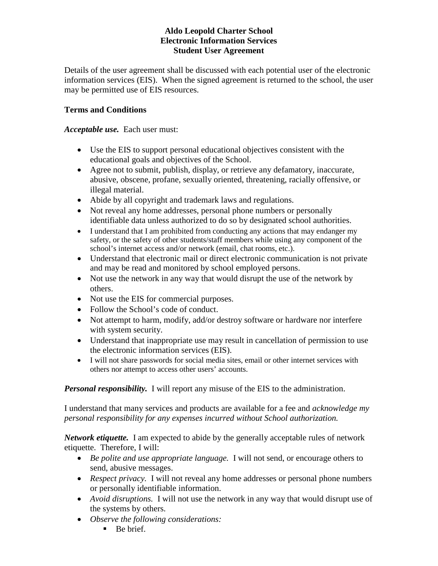## **Aldo Leopold Charter School Electronic Information Services Student User Agreement**

Details of the user agreement shall be discussed with each potential user of the electronic information services (EIS). When the signed agreement is returned to the school, the user may be permitted use of EIS resources.

# **Terms and Conditions**

## *Acceptable use.* Each user must:

- Use the EIS to support personal educational objectives consistent with the educational goals and objectives of the School.
- Agree not to submit, publish, display, or retrieve any defamatory, inaccurate, abusive, obscene, profane, sexually oriented, threatening, racially offensive, or illegal material.
- Abide by all copyright and trademark laws and regulations.
- Not reveal any home addresses, personal phone numbers or personally identifiable data unless authorized to do so by designated school authorities.
- I understand that I am prohibited from conducting any actions that may endanger my safety, or the safety of other students/staff members while using any component of the school's internet access and/or network (email, chat rooms, etc.).
- Understand that electronic mail or direct electronic communication is not private and may be read and monitored by school employed persons.
- Not use the network in any way that would disrupt the use of the network by others.
- Not use the EIS for commercial purposes.
- Follow the School's code of conduct.
- Not attempt to harm, modify, add/or destroy software or hardware nor interfere with system security.
- Understand that inappropriate use may result in cancellation of permission to use the electronic information services (EIS).
- I will not share passwords for social media sites, email or other internet services with others nor attempt to access other users' accounts.

*Personal responsibility.* I will report any misuse of the EIS to the administration.

I understand that many services and products are available for a fee and *acknowledge my personal responsibility for any expenses incurred without School authorization.*

*Network etiquette.* I am expected to abide by the generally acceptable rules of network etiquette. Therefore, I will:

- *Be polite and use appropriate language.* I will not send, or encourage others to send, abusive messages.
- *Respect privacy.* I will not reveal any home addresses or personal phone numbers or personally identifiable information.
- *Avoid disruptions.* I will not use the network in any way that would disrupt use of the systems by others.
- *Observe the following considerations:*
	- $\blacksquare$  Be brief.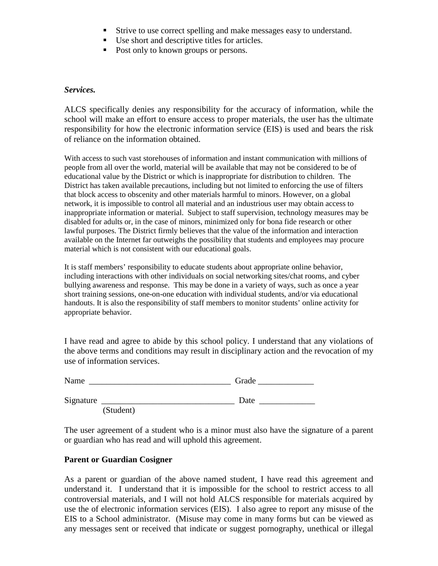- Strive to use correct spelling and make messages easy to understand.
- Use short and descriptive titles for articles.
- Post only to known groups or persons.

#### *Services.*

ALCS specifically denies any responsibility for the accuracy of information, while the school will make an effort to ensure access to proper materials, the user has the ultimate responsibility for how the electronic information service (EIS) is used and bears the risk of reliance on the information obtained.

With access to such vast storehouses of information and instant communication with millions of people from all over the world, material will be available that may not be considered to be of educational value by the District or which is inappropriate for distribution to children. The District has taken available precautions, including but not limited to enforcing the use of filters that block access to obscenity and other materials harmful to minors. However, on a global network, it is impossible to control all material and an industrious user may obtain access to inappropriate information or material. Subject to staff supervision, technology measures may be disabled for adults or, in the case of minors, minimized only for bona fide research or other lawful purposes. The District firmly believes that the value of the information and interaction available on the Internet far outweighs the possibility that students and employees may procure material which is not consistent with our educational goals.

It is staff members' responsibility to educate students about appropriate online behavior, including interactions with other individuals on social networking sites/chat rooms, and cyber bullying awareness and response. This may be done in a variety of ways, such as once a year short training sessions, one-on-one education with individual students, and/or via educational handouts. It is also the responsibility of staff members to monitor students' online activity for appropriate behavior.

I have read and agree to abide by this school policy. I understand that any violations of the above terms and conditions may result in disciplinary action and the revocation of my use of information services.

Name \_\_\_\_\_\_\_\_\_\_\_\_\_\_\_\_\_\_\_\_\_\_\_\_\_\_\_\_\_\_\_\_\_ Grade \_\_\_\_\_\_\_\_\_\_\_\_\_

| Grade |  |
|-------|--|
|       |  |

Signature \_\_\_\_\_\_\_\_\_\_\_\_\_\_\_\_\_\_\_\_\_\_\_\_\_\_\_\_\_\_\_ Date \_\_\_\_\_\_\_\_\_\_\_\_\_

(Student)

The user agreement of a student who is a minor must also have the signature of a parent or guardian who has read and will uphold this agreement.

### **Parent or Guardian Cosigner**

As a parent or guardian of the above named student, I have read this agreement and understand it. I understand that it is impossible for the school to restrict access to all controversial materials, and I will not hold ALCS responsible for materials acquired by use the of electronic information services (EIS). I also agree to report any misuse of the EIS to a School administrator. (Misuse may come in many forms but can be viewed as any messages sent or received that indicate or suggest pornography, unethical or illegal